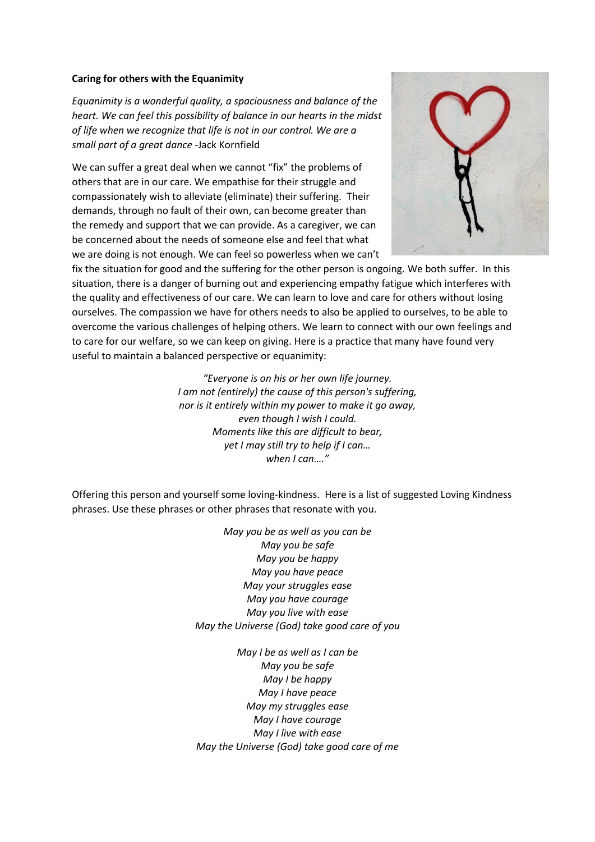## **Caring for others with the Equanimity**

*Equanimity is a wonderful quality, a spaciousness and balance of the heart. We can feel this possibility of balance in our hearts in the midst of life when we recognize that life is not in our control. We are a small part of a great dance* -Jack Kornfield

We can suffer a great deal when we cannot "fix" the problems of others that are in our care. We empathise for their struggle and compassionately wish to alleviate (eliminate) their suffering. Their demands, through no fault of their own, can become greater than the remedy and support that we can provide. As a caregiver, we can be concerned about the needs of someone else and feel that what we are doing is not enough. We can feel so powerless when we can't



fix the situation for good and the suffering for the other person is ongoing. We both suffer. In this situation, there is a danger of burning out and experiencing empathy fatigue which interferes with the quality and effectiveness of our care. We can learn to love and care for others without losing ourselves. The compassion we have for others needs to also be applied to ourselves, to be able to overcome the various challenges of helping others. We learn to connect with our own feelings and to care for our welfare, so we can keep on giving. Here is a practice that many have found very useful to maintain a balanced perspective or equanimity:

> *"Everyone is on his or her own life journey. I am not (entirely) the cause of this person's suffering, nor is it entirely within my power to make it go away, even though I wish I could. Moments like this are difficult to bear, yet I may still try to help if I can… when I can…."*

Offering this person and yourself some loving-kindness. Here is a list of suggested Loving Kindness phrases. Use these phrases or other phrases that resonate with you.

> *May you be as well as you can be May you be safe May you be happy May you have peace May your struggles ease May you have courage May you live with ease May the Universe (God) take good care of you*

> *May I be as well as I can be May you be safe May I be happy May I have peace May my struggles ease May I have courage May I live with ease May the Universe (God) take good care of me*